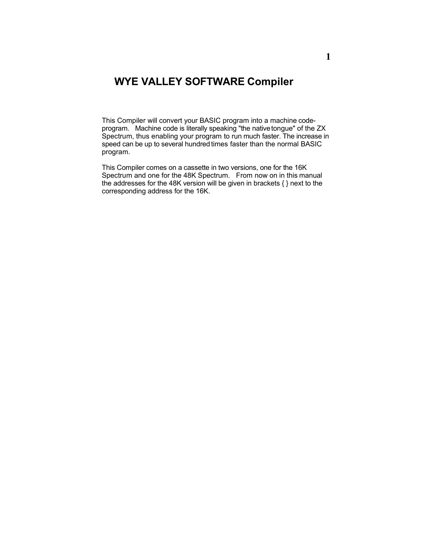# **WYE VALLEY SOFTWARE Compiler**

This Compiler will convert your BASIC program into a machine codeprogram. Machine code is literally speaking "the native tongue" of the ZX Spectrum, thus enabling your program to run much faster. The increase in speed can be up to several hundred times faster than the normal BASIC program.

This Compiler comes on a cassette in two versions, one for the 16K Spectrum and one for the 48K Spectrum. From now on in this manual the addresses for the 48K version will be given in brackets { } next to the corresponding address for the 16K.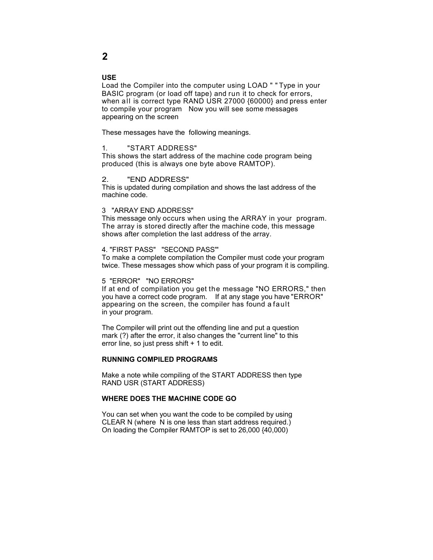## **USE**

Load the Compiler into the computer using LOAD " " Type in your BASIC program (or load off tape) and run it to check for errors, when all is correct type RAND USR 27000 {60000} and press enter to compile your program Now you will see some messages appearing on the screen

These messages have the following meanings.

# 1. "START ADDRESS"

This shows the start address of the machine code program being produced (this is always one byte above RAMTOP).

#### 2. "END ADDRESS"

This is updated during compilation and shows the last address of the machine code.

### 3 "ARRAY END ADDRESS"

This message only occurs when using the ARRAY in your program. The array is stored directly after the machine code, this message shows after completion the last address of the array.

#### 4. "FIRST PASS" "SECOND PASS'"

To make a complete compilation the Compiler must code your program twice. These messages show which pass of your program it is compiling.

### 5 "ERROR" "NO ERRORS"

If at end of compilation you get the message "NO ERRORS," then you have a correct code program. If at any stage you have"ERROR" appearing on the screen, the compiler has found a fault in your program.

The Compiler will print out the offending line and put a question mark (?) after the error, it also changes the "current line" to this error line, so just press shift + 1 to edit.

## **RUNNING COMPILED PROGRAMS**

Make a note while compiling of the START ADDRESS then type RAND USR (START ADDRESS)

### **WHERE DOES THE MACHINE CODE GO**

You can set when you want the code to be compiled by using CLEAR N (where N is one less than start address required.) On loading the Compiler RAMTOP is set to 26,000 {40,000)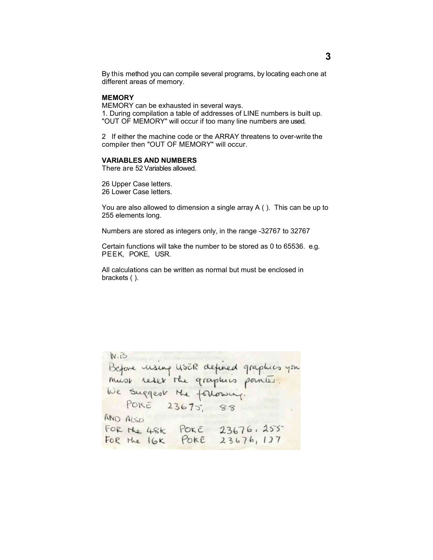By this method you can compile several programs, by locating eachone at different areas of memory.

# **MEMORY**

MEMORY can be exhausted in several ways. 1. During compilation a table of addresses of LINE numbers is built up. "OUT OF MEMORY" will occur if too many line numbers are used.

2 If either the machine code or the ARRAY threatens to over-write the compiler then "OUT OF MEMORY" will occur.

### **VARIABLES AND NUMBERS**

There are 52 Variables allowed.

26 Upper Case letters. 26 Lower Case letters.

You are also allowed to dimension a single array A ( ). This can be up to 255 elements long.

Numbers are stored as integers only, in the range -32767 to 32767

Certain functions will take the number to be stored as 0 to 65536. e.g. PEEK, POKE, USR.

All calculations can be written as normal but must be enclosed in brackets ( ).

```
N.BBefore main usER defined graphics you
We suggest the following.
  POKE 23675, 88
AND ALSO<br>FOR the 48k POKE 23676, 255
```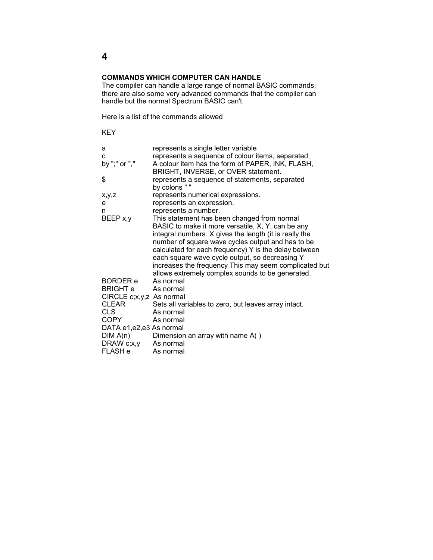# **COMMANDS WHICH COMPUTER CAN HANDLE**

The compiler can handle a large range of normal BASIC commands, there are also some very advanced commands that the compiler can handle but the normal Spectrum BASIC can't.

Here is a list of the commands allowed

KEY

| a                                | represents a single letter variable                                                                     |
|----------------------------------|---------------------------------------------------------------------------------------------------------|
| C                                | represents a sequence of colour items, separated                                                        |
| by ";" or ","                    | A colour item has the form of PAPER, INK, FLASH,                                                        |
| \$                               | BRIGHT, INVERSE, or OVER statement.<br>represents a sequence of statements, separated                   |
|                                  | by colons " "                                                                                           |
| x,y,z                            | represents numerical expressions.                                                                       |
| е                                | represents an expression.                                                                               |
| n                                | represents a number.                                                                                    |
| BEEP x,y                         | This statement has been changed from normal                                                             |
|                                  | BASIC to make it more versatile, X, Y, can be any                                                       |
|                                  | integral numbers. X gives the length (it is really the                                                  |
|                                  | number of square wave cycles output and has to be                                                       |
|                                  | calculated for each frequency) Y is the delay between                                                   |
|                                  | each square wave cycle output, so decreasing Y<br>increases the frequency This may seem complicated but |
|                                  | allows extremely complex sounds to be generated.                                                        |
| BORDER e                         | As normal                                                                                               |
| <b>BRIGHT e</b>                  | - As normal                                                                                             |
| CIRCLE c;x,y,z As normal         |                                                                                                         |
| <b>CLEAR</b>                     | Sets all variables to zero, but leaves array intact.                                                    |
| CLS -                            | As normal                                                                                               |
| <b>COPY</b>                      | As normal                                                                                               |
| DATA e1,e2,e3 As normal          |                                                                                                         |
| DIM A(n)<br>DRAW c;x,y As normal | Dimension an array with name A()                                                                        |
| <b>FLASH</b> e                   | As normal                                                                                               |
|                                  |                                                                                                         |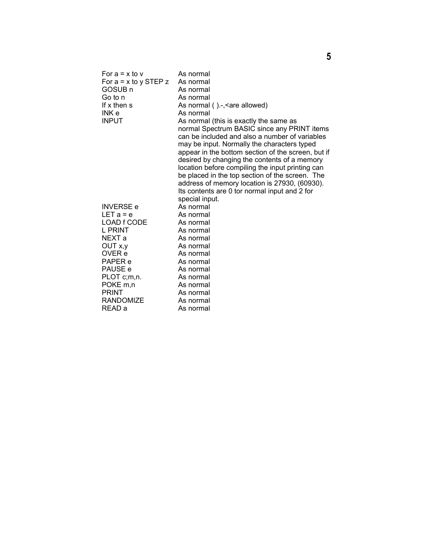| For $a = x$ to $v$      | As normal                                          |
|-------------------------|----------------------------------------------------|
| For $a = x$ to y STEP z | As normal                                          |
| GOSUB n                 | As normal                                          |
| Go to n                 | As normal                                          |
| If x then s             | As normal ().-, < are allowed)                     |
| INK e                   | As normal                                          |
| <b>INPUT</b>            | As normal (this is exactly the same as             |
|                         | normal Spectrum BASIC since any PRINT items        |
|                         | can be included and also a number of variables     |
|                         | may be input. Normally the characters typed        |
|                         | appear in the bottom section of the screen, but if |
|                         | desired by changing the contents of a memory       |
|                         | location before compiling the input printing can   |
|                         | be placed in the top section of the screen. The    |
|                         | address of memory location is 27930, (60930).      |
|                         | Its contents are 0 tor normal input and 2 for      |
|                         | special input.                                     |
| <b>INVERSE e</b>        | As normal                                          |
| $LET a = e$             | As normal                                          |
| LOAD f CODE             | As normal                                          |
| L PRINT                 | As normal                                          |
| NEXT a                  | As normal                                          |
| OUT x,y                 | As normal                                          |
| OVER e                  | As normal                                          |
| PAPER e                 | As normal                                          |
| PAUSE e                 | As normal                                          |
| PLOT c;m,n.             | As normal                                          |
| POKE <sub>m,n</sub>     | As normal                                          |
| <b>PRINT</b>            | As normal                                          |
| RANDOMIZE               | As normal                                          |
| READ a                  | As normal                                          |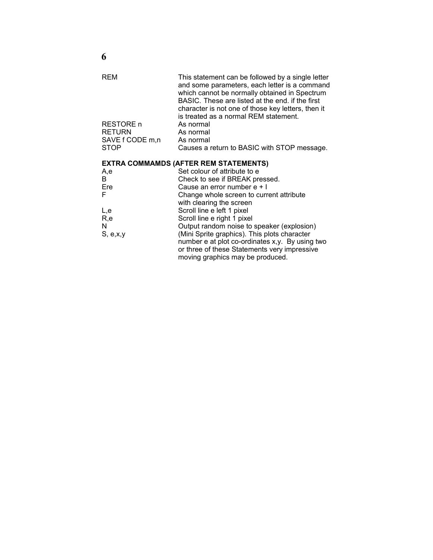| REM<br>RESTORE n<br><b>RETURN</b> | This statement can be followed by a single letter<br>and some parameters, each letter is a command<br>which cannot be normally obtained in Spectrum<br>BASIC. These are listed at the end. if the first<br>character is not one of those key letters, then it<br>is treated as a normal REM statement.<br>As normal<br>As normal |
|-----------------------------------|----------------------------------------------------------------------------------------------------------------------------------------------------------------------------------------------------------------------------------------------------------------------------------------------------------------------------------|
| SAVE f CODE m,n<br><b>STOP</b>    | As normal<br>Causes a return to BASIC with STOP message.                                                                                                                                                                                                                                                                         |
|                                   |                                                                                                                                                                                                                                                                                                                                  |

# **EXTRA COMMAMDS (AFTER REM STATEMENTS)**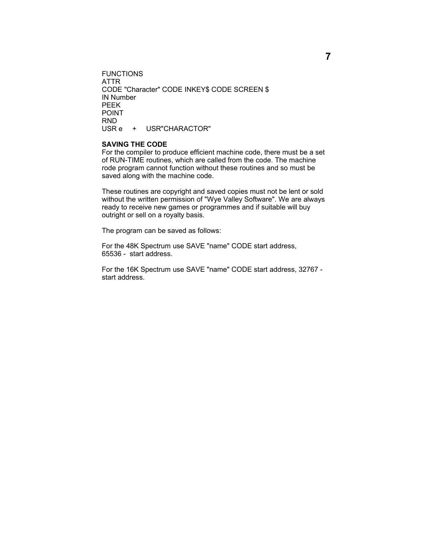FUNCTIONS ATTR CODE "Character" CODE INKEY\$ CODE SCREEN \$ IN Number PEEK POINT RND USR e + USR"CHARACTOR"

# **SAVING THE CODE**

For the compiler to produce efficient machine code, there must be a set of RUN-TIME routines, which are called from the code. The machine rode program cannot function without these routines and so must be saved along with the machine code.

These routines are copyright and saved copies must not be lent or sold without the written permission of "Wye Valley Software". We are always ready to receive new games or programmes and if suitable will buy outright or sell on a royalty basis.

The program can be saved as follows:

For the 48K Spectrum use SAVE "name" CODE start address, 65536 - start address.

For the 16K Spectrum use SAVE "name" CODE start address, 32767 start address.